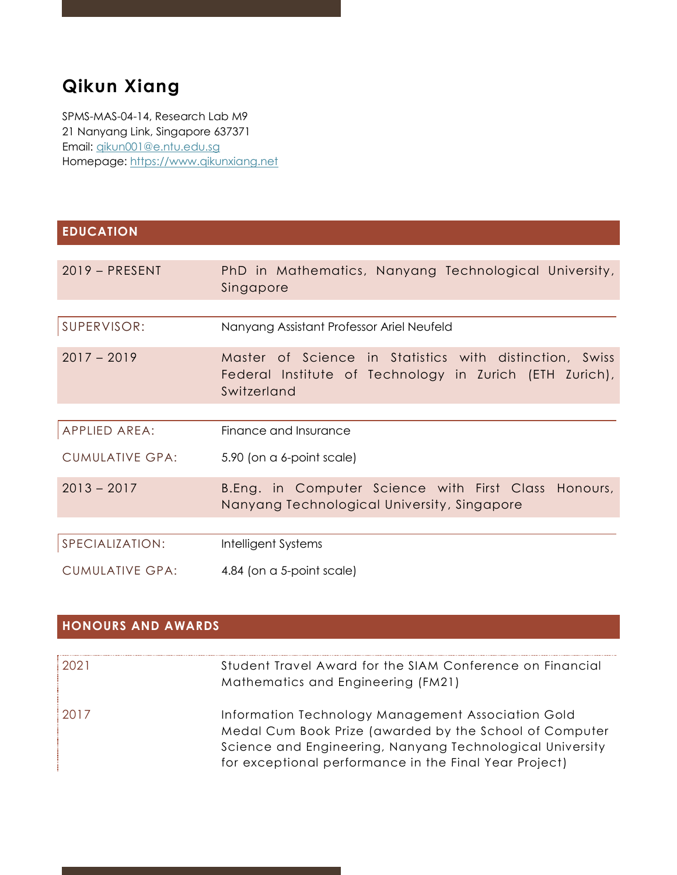# **Qikun Xiang**

SPMS-MAS-04-14, Research Lab M9 21 Nanyang Link, Singapore 637371 Email: [qikun001@e.ntu.edu.sg](mailto:qikun001@e.ntu.edu.sg) Homepage: [https://www.qikunxiang.net](https://www.qikunxiang.net/)

### **EDUCATION**

| $2019 - PRESENT$       | PhD in Mathematics, Nanyang Technological University,<br>Singapore                                                                |
|------------------------|-----------------------------------------------------------------------------------------------------------------------------------|
|                        |                                                                                                                                   |
| SUPERVISOR:            | Nanyang Assistant Professor Ariel Neufeld                                                                                         |
| $2017 - 2019$          | Master of Science in Statistics with distinction, Swiss<br>Federal Institute of Technology in Zurich (ETH Zurich),<br>Switzerland |
|                        |                                                                                                                                   |
| APPLIED AREA:          | Finance and Insurance                                                                                                             |
| <b>CUMULATIVE GPA:</b> | 5.90 (on a 6-point scale)                                                                                                         |
| $2013 - 2017$          | B.Eng. in Computer Science with First Class Honours,<br>Nanyang Technological University, Singapore                               |
|                        |                                                                                                                                   |
| SPECIALIZATION:        | Intelligent Systems                                                                                                               |
| <b>CUMULATIVE GPA:</b> | 4.84 (on a 5-point scale)                                                                                                         |

### **HONOURS AND AWARDS**

| 2021 | Student Travel Award for the SIAM Conference on Financial<br>Mathematics and Engineering (FM21)                                                                                                                                      |
|------|--------------------------------------------------------------------------------------------------------------------------------------------------------------------------------------------------------------------------------------|
| 2017 | Information Technology Management Association Gold<br>Medal Cum Book Prize (awarded by the School of Computer<br>Science and Engineering, Nanyang Technological University<br>for exceptional performance in the Final Year Project) |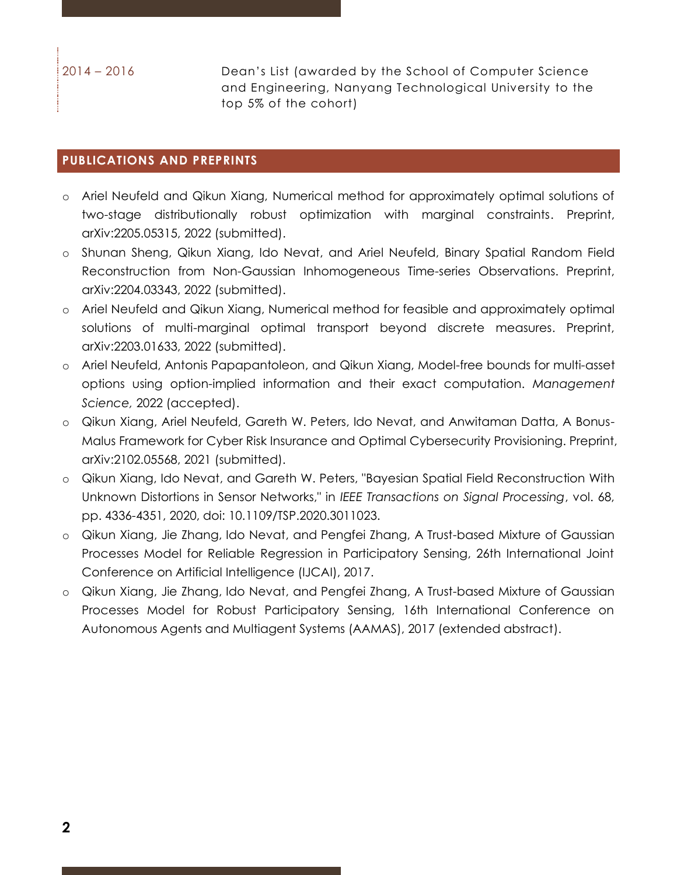2014 – 2016 Dean's List (awarded by the School of Computer Science and Engineering, Nanyang Technological University to the top 5% of the cohort)

#### **PUBLICATIONS AND PREPRINTS**

- o Ariel Neufeld and Qikun Xiang, Numerical method for approximately optimal solutions of two-stage distributionally robust optimization with marginal constraints. Preprint, arXiv:2205.05315, 2022 (submitted).
- o Shunan Sheng, Qikun Xiang, Ido Nevat, and Ariel Neufeld, Binary Spatial Random Field Reconstruction from Non-Gaussian Inhomogeneous Time-series Observations. Preprint, arXiv:2204.03343, 2022 (submitted).
- o Ariel Neufeld and Qikun Xiang, Numerical method for feasible and approximately optimal solutions of multi-marginal optimal transport beyond discrete measures. Preprint, arXiv:2203.01633, 2022 (submitted).
- o Ariel Neufeld, Antonis Papapantoleon, and Qikun Xiang, Model-free bounds for multi-asset options using option-implied information and their exact computation. *Management Science,* 2022 (accepted).
- o Qikun Xiang, Ariel Neufeld, Gareth W. Peters, Ido Nevat, and Anwitaman Datta, A Bonus-Malus Framework for Cyber Risk Insurance and Optimal Cybersecurity Provisioning. Preprint, arXiv:2102.05568, 2021 (submitted).
- o Qikun Xiang, Ido Nevat, and Gareth W. Peters, "Bayesian Spatial Field Reconstruction With Unknown Distortions in Sensor Networks," in *IEEE Transactions on Signal Processing*, vol. 68, pp. 4336-4351, 2020, doi: 10.1109/TSP.2020.3011023.
- o Qikun Xiang, Jie Zhang, Ido Nevat, and Pengfei Zhang, A Trust-based Mixture of Gaussian Processes Model for Reliable Regression in Participatory Sensing, 26th International Joint Conference on Artificial Intelligence (IJCAI), 2017.
- o Qikun Xiang, Jie Zhang, Ido Nevat, and Pengfei Zhang, A Trust-based Mixture of Gaussian Processes Model for Robust Participatory Sensing, 16th International Conference on Autonomous Agents and Multiagent Systems (AAMAS), 2017 (extended abstract).